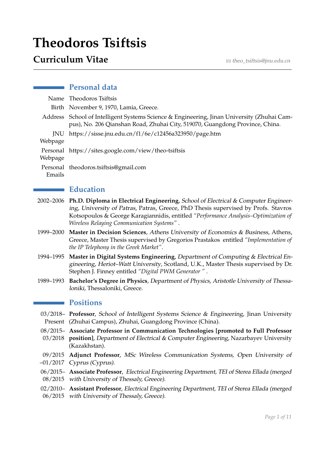# **Theodoros Tsiftsis**

# **Curriculum Vitae**  $\sum_{\text{min} \in \text{Beta}(B)}$

# **Personal data**

|         | Name Theodoros Tsiftsis                                                                                                                                                    |
|---------|----------------------------------------------------------------------------------------------------------------------------------------------------------------------------|
|         | Birth November 9, 1970, Lamia, Greece.                                                                                                                                     |
|         | Address School of Intelligent Systems Science & Engineering, Jinan University (Zhuhai Cam-<br>pus), No. 206 Qianshan Road, Zhuhai City, 519070, Guangdong Province, China. |
|         | JNU https://sisse.jnu.edu.cn/f1/6e/c12456a323950/page.htm                                                                                                                  |
| Webpage |                                                                                                                                                                            |
|         | Personal https://sites.google.com/view/theo-tsiftsis                                                                                                                       |
| Webpage |                                                                                                                                                                            |
|         | Personal theodoros.tsiftsis@gmail.com                                                                                                                                      |
| Emails  |                                                                                                                                                                            |

# **Education**

- 2002–2006 **Ph.D. Diploma in Electrical Engineering**, School of Electrical & Computer Engineering, University of Patras, Patras, Greece, PhD Thesis supervised by Profs. Stavros Kotsopoulos & George Karagiannidis, entitled *"Performance Analysis–Optimization of Wireless Relaying Communication Systems"* .
- 1999–2000 **Master in Decision Sciences**, Athens University of Economics & Business, Athens, Greece, Master Thesis supervised by Gregorios Prastakos entitled *"Implementation of the IP Telephony in the Greek Market"*.
- 1994–1995 **Master in Digital Systems Engineering**, Department of Computing & Electrical Engineering, Heriot–Watt University, Scotland, U.K., Master Thesis supervised by Dr. Stephen J. Finney entitled *"Digital PWM Generator "* .
- 1989–1993 **Bachelor's Degree in Physics**, Department of Physics, Aristotle University of Thessaloniki, Thessaloniki, Greece.

### **Positions**

- 03/2018– **Professor**, School of Intelligent Systems Science & Engineering, Jinan University Present (Zhuhai Campus), Zhuhai, Guangdong Province (China).
- 08/2015– **Associate Professor in Communication Technologies [promoted to Full Professor**
- 03/2018 **position]**, Department of Electrical & Computer Engineering, Nazarbayev University (Kazakhstan).
- 09/2015 **Adjunct Professor**, MSc Wireless Communication Systems, Open University of –01/2017 Cyprus (Cyprus).
- 06/2015– **Associate Professor**, Electrical Engineering Department, TEI of Sterea Ellada (merged 08/2015 with University of Thessaly, Greece).
- 02/2010– **Assistant Professor**, Electrical Engineering Department, TEI of Sterea Ellada (merged 06/2015 with University of Thessaly, Greece).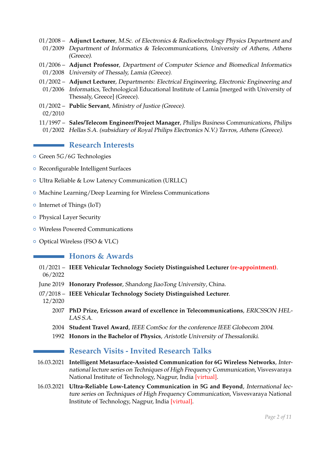- 01/2008 **Adjunct Lecturer**, M.Sc. of Electronics & Radioelectrology Physics Department and 01/2009 Department of Informatics & Telecommunications, University of Athens, Athens (Greece).
- 01/2006 **Adjunct Professor**, Department of Computer Science and Biomedical Informatics 01/2008 University of Thessaly, Lamia (Greece).
- 01/2002 **Adjunct Lecturer**, Departments: Electrical Engineering, Electronic Engineering and
- 01/2006 Informatics, Technological Educational Institute of Lamia [merged with University of Thessaly, Greece] (Greece).
- 01/2002 **Public Servant**, Ministry of Justice (Greece).
- 02/2010
- 11/1997 **Sales/Telecom Engineer/Project Manager**, Philips Business Communications, Philips
- 01/2002 Hellas S.A. (subsidiary of Royal Philips Electronics N.V.) Tavros, Athens (Greece).

# **Research Interests**

- { Green 5*G*/6*G* Technologies
- Reconfigurable Intelligent Surfaces
- { Ultra Reliable & Low Latency Communication (URLLC)
- { Machine Learning/Deep Learning for Wireless Communications
- Internet of Things (IoT)
- { Physical Layer Security
- { Wireless Powered Communications
- { Optical Wireless (FSO & VLC)

### **Honors & Awards**

- 01/2021 **IEEE Vehicular Technology Society Distinguished Lecturer (re-appointment)**. 06/2022
- June 2019 **Honorary Professor**, Shandong JiaoTong University, China.
- 07/2018 **IEEE Vehicular Technology Society Distinguished Lecturer**.
- 12/2020
	- 2007 **PhD Prize, Ericsson award of excellence in Telecommunications**, ERICSSON HEL-LAS S.A.
	- 2004 **Student Travel Award**, IEEE ComSoc for the conference IEEE Globecom 2004.
	- 1992 **Honors in the Bachelor of Physics**, Aristotle University of Thessaloniki.

# **Research Visits - Invited Research Talks**

- 16.03.2021 **Intelligent Metasurface-Assisted Communication for 6G Wireless Networks**, International lecture series on Techniques of High Frequency Communication, Visvesvaraya National Institute of Technology, Nagpur, India [virtual].
- 16.03.2021 **Ultra-Reliable Low-Latency Communication in 5G and Beyond**, International lecture series on Techniques of High Frequency Communication, Visvesvaraya National Institute of Technology, Nagpur, India [virtual].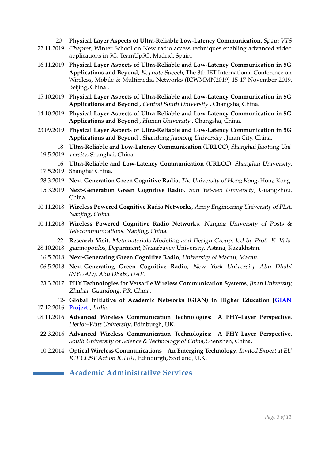20 - **Physical Layer Aspects of Ultra-Reliable Low-Latency Communication**, Spain VTS 22.11.2019 Chapter, Winter School on New radio access techniques enabling advanced video applications in 5G, TeamUp5G, Madrid, Spain. 16.11.2019 **Physical Layer Aspects of Ultra-Reliable and Low-Latency Communication in 5G Applications and Beyond**, Keynote Speech, The 8th IET International Conference on Wireless, Mobile & Multimedia Networks (ICWMMN2019) 15-17 November 2019, Beijing, China . 15.10.2019 **Physical Layer Aspects of Ultra-Reliable and Low-Latency Communication in 5G Applications and Beyond** , Central South University , Changsha, China. 14.10.2019 **Physical Layer Aspects of Ultra-Reliable and Low-Latency Communication in 5G Applications and Beyond** , Hunan University , Changsha, China. 23.09.2019 **Physical Layer Aspects of Ultra-Reliable and Low-Latency Communication in 5G Applications and Beyond** , Shandong Jiaotong University , Jinan City, China. 18- **Ultra-Reliable and Low-Latency Communication (URLCC)**, Shanghai Jiaotong Uni-19.5.2019 versity, Shanghai, China. 16- **Ultra-Reliable and Low-Latency Communication (URLCC)**, Shanghai University, 17.5.2019 Shanghai China. 28.3.2019 **Next-Generation Green Cognitive Radio**, The University of Hong Kong, Hong Kong. 15.3.2019 **Next-Generation Green Cognitive Radio**, Sun Yat-Sen University, Guangzhou, China. 10.11.2018 **Wireless Powered Cognitive Radio Networks**, Army Engineering University of PLA, Nanjing, China. 10.11.2018 **Wireless Powered Cognitive Radio Networks**, Nanjing University of Posts & Telecommunications, Nanjing, China. 22- **Research Visit**, Metamaterials Modeling and Design Group, led by Prof. K. Vala-28.10.2018 giannopoulos, Department, Nazarbayev University, Astana, Kazakhstan. 16.5.2018 **Next-Generating Green Cognitive Radio**, University of Macau, Macau. 06.5.2018 **Next-Generating Green Cognitive Radio**, New York University Abu Dhabi (NYUAD), Abu Dhabi, UAE. 23.3.2017 **PHY Technologies for Versatile Wireless Communication Systems**, Jinan University, Zhuhai, Guandong, P.R. China. 12- **Global Initiative of Academic Networks (GIAN) in Higher Education [\[GIAN](http://www.gian.iitkgp.ac.in/)** 17.12.2016 **[Project\]](http://www.gian.iitkgp.ac.in/)**, India. 08.11.2016 **Advanced Wireless Communication Technologies: A PHY–Layer Perspective**, Heriot–Watt University, Edinburgh, UK. 22.3.2016 **Advanced Wireless Communication Technologies: A PHY–Layer Perspective**, South University of Science & Technology of China, Shenzhen, China. 10.2.2014 **Optical Wireless Communications – An Emerging Technology**, Invited Expert at EU ICT COST Action IC1101, Edinburgh, Scotland, U.K.

# **Academic Administrative Services**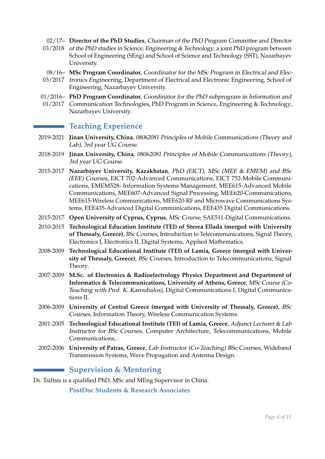02/17– **Director of the PhD Studies**, Chairman of the PhD Program Committee and Director

- 03/2018 of the PhD studies in Science, Engineering & Technology, a joint PhD program between School of Engineering (SEng) and School of Science and Technology (SST), Nazarbayev University.
- 08/16– **MSc Program Coordinator**, Coordinator for the MSc Program in Electrical and Elec-
- 03/2017 tronics Engineering, Department of Electrical and Electronic Engineering, School of Engineering, Nazarbayev University.
- 01/2016– **PhD Program Coordinator**, Coordinator for the PhD subprogram in Information and
- 01/2017 Communication Technologies, PhD Program in Science, Engineering & Technology, Nazarbayev University.

# **Teaching Experience**

- 2019-2021 **Jinan University, China**, 08062081 Principles of Mobile Communications (Theory and Lab), 3rd year UG Course.
- 2018-2019 **Jinan University, China**, 08062081 Principles of Mobile Communications (Theory), 3rd year UG Course.
- 2015-2017 **Nazarbayev University, Kazakhstan**, PhD (EICT), MSc (MEE & EMEM) and BSc (EEE) Courses, EICT 702-Advanced Communications, EICT 752-Mobile Communications, EMEM528- Information Systems Management, MEE615-Advanced Mobile Communications, MEE607-Advanced Signal Processing, MEE620-Communications, MEE615-Wireless Communications, MEE620-RF and Microwave Communications Systems, EEE435-Advanced Digital Communications, EEE435 Digital Communications.
- 2015-2017 **Open University of Cyprus, Cyprus**, MSc Course, SAE511-Digital Communications.
- 2010-2015 **Technological Education Institute (TEI) of Sterea Ellada (merged with University of Thessaly, Greece)**, BSc Courses, Introduction to Telecommunications, Signal Theory, Electronics I, Electronics II, Digital Systems, Applied Mathematics.
- 2008-2009 **Technological Educational Institute (TEI) of Lamia, Greece (merged with University of Thessaly, Greece)**, BSc Courses, Introduction to Telecommunications, Signal Theory.
- 2007-2009 **M.Sc. of Electronics & Radioelectrology Physics Department and Department of Informatics & Telecommunications, University of Athens, Greece**, MSc Course (Co-Teaching with Prof. K. Karoubalos), Digital Communications I, Digital Communications II.
- 2006-2009 **University of Central Greece (merged with University of Thessaly, Greece)**, BSc Courses, Information Theory, Wireless Communication Systems.
- 2001-2005 **Technological Educational Institute (TEI) of Lamia, Greece**, Adjunct Lecturer & Lab Instructor for BSc Courses, Computer Architecture, Telecommunications, Mobile Communications, .
- 2002-2006 **University of Patras, Greece**, Lab Instructor (Co-Teaching) BSc Courses, Wideband Transmission Systems, Wave Propagation and Antenna Design.

# **Supervision & Mentoring**

Dr. Tsiftsis is a qualified PhD, MSc and MEng Supervisor in China.

**PostDoc Students & Research Associates**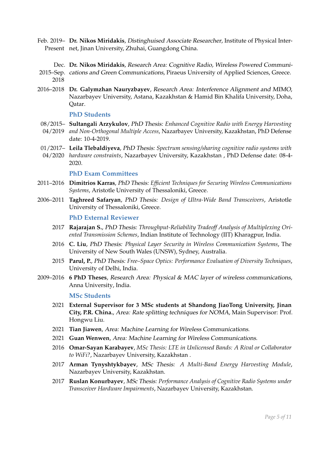- Feb. 2019– **Dr. Nikos Miridakis**, Distinghuised Associate Researcher, Institute of Physical Inter-Present net, Jinan University, Zhuhai, Guangdong China.
- Dec. **Dr. Nikos Miridakis**, Research Area: Cognitive Radio, Wireless Powered Communi-2015–Sep. cations and Green Communications, Piraeus University of Applied Sciences, Greece. 2018
- 2016–2018 **Dr. Galymzhan Nauryzbayev**, Research Area: Interference Alignment and MIMO, Nazarbayev University, Astana, Kazakhstan & Hamid Bin Khalifa University, Doha, Qatar.

#### **PhD Students**

- 08/2015– **Sultangali Arzykulov**, PhD Thesis: *Enhanced Cognitive Radio with Energy Harvesting*
- 04/2019 *and Non-Orthogonal Multiple Access*, Nazarbayev University, Kazakhstan, PhD Defense date: 10-4-2019.
- 01/2017– **Leila Tlebaldiyeva**, PhD Thesis: *Spectrum sensing/sharing cognitive radio systems with*
- 04/2020 *hardware constraints*, Nazarbayev University, Kazakhstan , PhD Defense date: 08-4- 2020.

#### **PhD Exam Committees**

- 2011–2016 **Dimitrios Karras**, PhD Thesis: *Efficient Techniques for Securing Wireless Communications Systems*, Aristotle University of Thessaloniki, Greece.
- 2006–2011 **Taghreed Safaryan**, PhD Thesis: *Design of Ultra-Wide Band Transceivers*, Aristotle University of Thessaloniki, Greece.

#### **PhD External Reviewer**

- 2017 **Rajarajan S.**, PhD Thesis: *Throughput-Reliability Tradeoff Analysis of Multiplexing Oriented Transmission Schemes*, Indian Institute of Technology (IIT) Kharagpur, India.
- 2016 **C. Liu**, PhD Thesis: *Physical Layer Security in Wireless Communication Systems*, The University of New South Wales (UNSW), Sydney, Australia.
- 2015 **Parul, P.**, PhD Thesis: *Free–Space Optics: Performance Evaluation of Diversity Techniques*, University of Delhi, India.
- 2009–2016 **6 PhD Theses**, Research Area: Physical & MAC layer of wireless communications, Anna University, India.

#### **MSc Students**

- 2021 **External Supervisor for 3 MSc students at Shandong JiaoTong University, Jinan City, P.R. China.**, Area: Rate splitting techniques for NOMA, Main Supervisor: Prof. Hongwu Liu.
- 2021 **Tian Jiawen**, Area: Machine Learning for Wireless Communications.
- 2021 **Guan Wenwen**, Area: Machine Learning for Wireless Communications.
- 2016 **Omar-Sayan Karabayev**, *MSc Thesis: LTE in Unlicensed Bands: A Rival or Collaborator to WiFi?*, Nazarbayev University, Kazakhstan .
- 2017 **Arman Tynyshtykbayev**, MSc Thesis: *A Multi-Band Energy Harvesting Module*, Nazarbayev University, Kazakhstan.
- 2017 **Ruslan Konurbayev**, MSc Thesis: *Performance Analysis of Cognitive Radio Systems under Transceiver Hardware Impairments*, Nazarbayev University, Kazakhstan.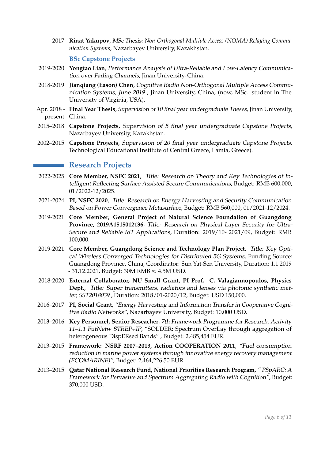2017 **Rinat Yakupov**, MSc Thesis: *Non-Orthogonal Multiple Access (NOMA) Relaying Communication Systems*, Nazarbayev University, Kazakhstan.

### **BSc Capstone Projects**

- 2019-2020 **Yongtao Lian**, Performance Analysis of Ultra-Reliable and Low-Latency Communication over Fading Channels, Jinan University, China.
- 2018-2019 **Jianqiang (Eason) Chen**, Cognitive Radio Non-Orthogonal Multiple Access Communication Systems, June 2019 , Jinan University, China, (now, MSc. student in The University of Virginia, USA).
- Apr. 2018 **Final Year Thesis**, Supervision of 10 final year undergraduate Theses, Jinan University, present China.
- 2015–2018 **Capstone Projects**, Supervision of 5 final year undergraduate Capstone Projects, Nazarbayev University, Kazakhstan.
- 2002–2015 **Capstone Projects**, Supervision of 20 final year undergraduate Capstone Projects, Technological Educational Institute of Central Greece, Lamia, Greece).

# **Research Projects**

- 2022-2025 **Core Member, NSFC 2021**, Title: Research on Theory and Key Technologies of Intelligent Reflecting Surface Assisted Secure Communications, Budget: RMB 600,000, 01/2022-12/2025.
- 2021-2024 **PI, NSFC 2020**, Title: Research on Energy Harvesting and Security Communication Based on Power Convergence Metasurface, Budget: RMB 560,000, 01/2021-12/2024.
- 2019-2021 **Core Member, General Project of Natural Science Foundation of Guangdong Province, 2019A1515012136**, Title: Research on Physical Layer Security for Ultra-Secure and Reliable IoT Applications, Duration: 2019/10- 2021/09, Budget: RMB 100,000.
- 2019-2021 **Core Member, Guangdong Science and Technology Plan Project**, Title: Key Optical Wireless Converged Technologies for Distributed 5G Systems, Funding Source: Guangdong Province, China, Coordinator: Sun Yat-Sen University, Duration: 1.1.2019 - 31.12.2021, Budget: 30M RMB ≈ 4.5M USD.
- 2018-2020 **External Collaborator, NU Small Grant, PI Prof. C. Valagiannopoulos, Physics Dept.**, Title: Super transmitters, radiators and lenses via photonic synthetic matter, SST2018039 , Duration: 2018/01-2020/12, Budget: USD 150,000.
- 2016–2017 **PI, Social Grant**, "Energy Harvesting and Information Transfer in Cooperative Cognitive Radio Networks", Nazarbayev University, Budget: 10,000 USD.
- 2013–2016 **Key Personnel, Senior Reseacher**, 7th Framework Programme for Research, Activity 11–1.1 FutNetw STREP+IP, "SOLDER: Spectrum OverLay through aggregation of heterogeneous DispERsed Bands" , Budget: 2,485,454 EUR.
- 2013–2015 **Framework: NSRF 2007–2013, Action COOPERATION 2011**, "Fuel consumption reduction in marine power systems through innovative energy recovery management (ECOMARINE)", Budget: 2,464,226.50 EUR.
- 2013–2015 **Qatar National Research Fund, National Priorities Research Program**, " PSpARC: A Framework for Pervasive and Spectrum Aggregating Radio with Cognition", Budget: 370,000 USD.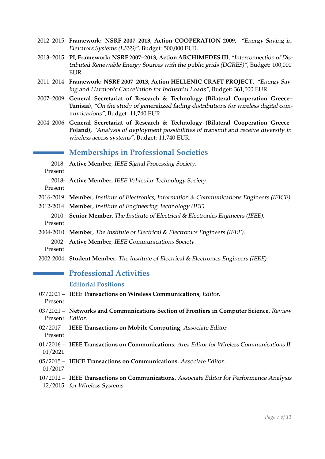- 2012–2015 **Framework: NSRF 2007–2013, Action COOPERATION 2009**, "Energy Saving in Elevators Systems (LESS)", Budget: 500,000 EUR.
- 2013–2015 **PI, Framework: NSRF 2007–2013, Action ARCHIMEDES III**, "Interconnection of Distributed Renewable Energy Sources with the public grids (DGRES)", Budget: 100,000 EUR.
- 2011–2014 **Framework: NSRF 2007–2013, Action HELLENIC CRAFT PROJECT**, "Energy Saving and Harmonic Cancellation for Industrial Loads", Budget: 361,000 EUR.
- 2007–2009 **General Secretariat of Research & Technology (Bilateral Cooperation Greece– Tunisia)**, "On the study of generalized fading distributions for wireless digital communications", Budget: 11,740 EUR.
- 2004–2006 **General Secretariat of Research & Technology (Bilateral Cooperation Greece– Poland)**, "Analysis of deployment possibilities of transmit and receive diversity in wireless access systems", Budget: 11,740 EUR.

# **Memberships in Professional Societies**

2018- **Active Member**, IEEE Signal Processing Society.

Present

2018- **Active Member**, IEEE Vehicular Technology Society.

Present

- 2016-2019 **Member**, Institute of Electronics, Information & Communications Engineers (IEICE).
- 2012-2014 **Member**, Institute of Engineering Technology (IET).
- 2010- **Senior Member**, The Institute of Electrical & Electronics Engineers (IEEE). Present
- 2004-2010 **Member**, The Institute of Electrical & Electronics Engineers (IEEE). 2002- **Active Member**, IEEE Communications Society.

Present

2002-2004 **Student Member**, The Institute of Electrical & Electronics Engineers (IEEE).

# **Professional Activities**

### **Editorial Positions**

07/2021 – **IEEE Transactions on Wireless Communications**, Editor.

Present

- 03/2021 **Networks and Communications Section of Frontiers in Computer Science**, Review Present Editor.
- 02/2017 **IEEE Transactions on Mobile Computing**, Associate Editor. Present
- 01/2016 **IEEE Transactions on Communications**, Area Editor for Wireless Communications II. 01/2021
- 05/2015 **IEICE Transactions on Communications**, Associate Editor.
- 01/2017
- 10/2012 **IEEE Transactions on Communications**, Associate Editor for Performance Analysis
- 12/2015 for Wireless Systems.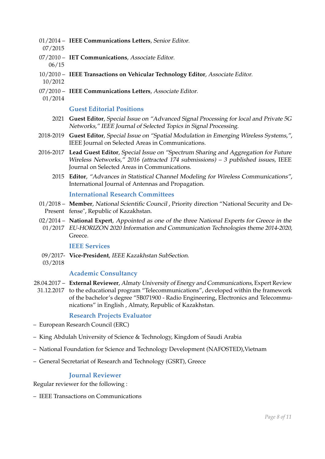- 01/2014 **IEEE Communications Letters**, Senior Editor.
- 07/2015
- 07/2010 **IET Communications**, Associate Editor. 06/15
- 10/2010 **IEEE Transactions on Vehicular Technology Editor**, Associate Editor.
- 10/2012
- 07/2010 **IEEE Communications Letters**, Associate Editor.
- 01/2014

### **Guest Editorial Positions**

- 2021 **Guest Editor**, Special Issue on "Advanced Signal Processing for local and Private 5G Networks," IEEE Journal of Selected Topics in Signal Processing.
- 2018-2019 **Guest Editor**, Special Issue on "Spatial Modulation in Emerging Wireless Systems,", IEEE Journal on Selected Areas in Communications.
- 2016-2017 **Lead Guest Editor**, Special Issue on "Spectrum Sharing and Aggregation for Future Wireless Networks," 2016 (attracted 174 submissions) – 3 published issues, IEEE Journal on Selected Areas in Communications.
	- 2015 **Editor**, "Advances in Statistical Channel Modeling for Wireless Communications", International Journal of Antennas and Propagation.

### **International Research Committees**

- 01/2018 **Member**, National Scientific Council , Priority direction "National Security and De-Present fense", Republic of Kazakhstan.
- 02/2014 **National Expert**, Appointed as one of the three National Experts for Greece in the 01/2017 EU-HORIZON 2020 Information and Communication Technologies theme 2014-2020, Greece.

### **IEEE Services**

- 09/2017- **Vice-President**, IEEE Kazakhstan SubSection.
- 03/2018

### **Academic Consultancy**

28.04.2017 – **External Reviewer**, Almaty University of Energy and Communications, Expert Review 31.12.2017 to the educational program "Telecommunications", developed within the framework of the bachelor's degree "5B071900 - Radio Engineering, Electronics and Telecommu-

# **Research Projects Evaluator**

- European Research Council (ERC)
- King Abdulah University of Science & Technology, Kingdom of Saudi Arabia

nications" in English , Almaty, Republic of Kazakhstan.

- National Foundation for Science and Technology Development (NAFOSTED),Vietnam
- General Secretariat of Research and Technology (GSRT), Greece

### **Journal Reviewer**

Regular reviewer for the following :

– IEEE Transactions on Communications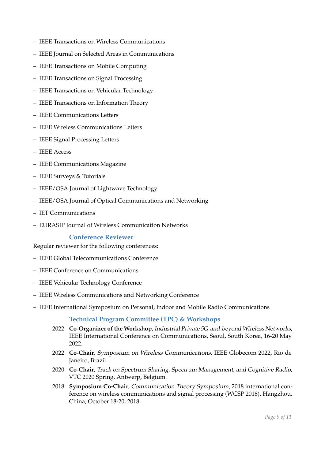- IEEE Transactions on Wireless Communications
- IEEE Journal on Selected Areas in Communications
- IEEE Transactions on Mobile Computing
- IEEE Transactions on Signal Processing
- IEEE Transactions on Vehicular Technology
- IEEE Transactions on Information Theory
- IEEE Communications Letters
- IEEE Wireless Communications Letters
- IEEE Signal Processing Letters
- IEEE Access
- IEEE Communications Magazine
- IEEE Surveys & Tutorials
- IEEE/OSA Journal of Lightwave Technology
- IEEE/OSA Journal of Optical Communications and Networking
- IET Communications
- EURASIP Journal of Wireless Communication Networks

### **Conference Reviewer**

Regular reviewer for the following conferences:

- IEEE Global Telecommunications Conference
- IEEE Conference on Communications
- IEEE Vehicular Technology Conference
- IEEE Wireless Communications and Networking Conference
- IEEE International Symposium on Personal, Indoor and Mobile Radio Communications

### **Technical Program Committee (TPC) & Workshops**

- 2022 **Co-Organizer of the Workshop**, Industrial Private 5G-and-beyond Wireless Networks, IEEE International Conference on Communications, Seoul, South Korea, 16-20 May 2022.
- 2022 **Co-Chair**, Symposium on Wireless Communications, IEEE Globecom 2022, Rio de Janeiro, Brazil.
- 2020 **Co-Chair**, Track on Spectrum Sharing, Spectrum Management, and Cognitive Radio, VTC 2020 Spring, Antwerp, Belgium.
- 2018 **Symposium Co-Chair**, Communication Theory Symposium, 2018 international conference on wireless communications and signal processing (WCSP 2018), Hangzhou, China, October 18-20, 2018.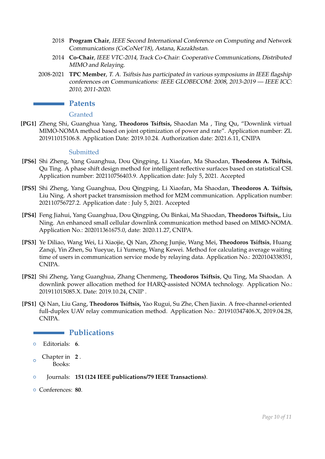- 2018 **Program Chair**, IEEE Second International Conference on Computing and Network Communications (CoCoNet'18), Astana, Kazakhstan.
- 2014 **Co-Chair**, IEEE VTC-2014, Track Co-Chair: Cooperative Communications, Distributed MIMO and Relaying.
- 2008-2021 **TPC Member**, T. A. Tsiftsis has participated in various symposiums in IEEE flagship conferences on Communications: IEEE GLOBECOM: 2008, 2013-2019 — IEEE ICC: 2010, 2011-2020.

### **Patents**

### Granted

**[PG1]** Zheng Shi, Guanghua Yang, **Theodoros Tsiftsis,** Shaodan Ma , Ting Qu, "Downlink virtual MIMO-NOMA method based on joint optimization of power and rate". Application number: ZL 201911015106.8. Application Date: 2019.10.24. Authorization date: 2021.6.11, CNIPA

### **Submitted**

- **[PS6]** Shi Zheng, Yang Guanghua, Dou Qingping, Li Xiaofan, Ma Shaodan, **Theodoros A. Tsiftsis,** Qu Ting. A phase shift design method for intelligent reflective surfaces based on statistical CSI. Application number: 202110756403.9. Application date: July 5, 2021. Accepted
- **[PS5]** Shi Zheng, Yang Guanghua, Dou Qingping, Li Xiaofan, Ma Shaodan, **Theodoros A. Tsiftsis,** Liu Ning. A short packet transmission method for M2M communication. Application number: 202110756727.2. Application date : July 5, 2021. Accepted
- **[PS4]** Feng Jiahui, Yang Guanghua, Dou Qingping, Ou Binkai, Ma Shaodan, **Theodoros Tsiftsis,**, Liu Ning. An enhanced small cellular downlink communication method based on MIMO-NOMA. Application No.: 202011361675.0, date: 2020.11.27, CNIPA.
- **[PS3]** Ye Diliao, Wang Wei, Li Xiaojie, Qi Nan, Zhong Junjie, Wang Mei, **Theodoros Tsiftsis**, Huang Zanqi, Yin Zhen, Su Yueyue, Li Yumeng, Wang Kewei. Method for calculating average waiting time of users in communication service mode by relaying data. Application No.: 2020104338351, CNIPA.
- **[PS2]** Shi Zheng, Yang Guanghua, Zhang Chenmeng, **Theodoros Tsiftsis**, Qu Ting, Ma Shaodan. A downlink power allocation method for HARQ-assisted NOMA technology. Application No.: 201911015085.X. Date: 2019.10.24, CNIP .
- **[PS1]** Qi Nan, Liu Gang, **Theodoros Tsiftsis,** Yao Rugui, Su Zhe, Chen Jiaxin. A free-channel-oriented full-duplex UAV relay communication method. Application No.: 201910347406.X, 2019.04.28, CNIPA.

### **Publications**

- $\Omega$ Chapter in **2** . Books:
- { Journals: **151 (124 IEEE publications/79 IEEE Transactions)**.
- { Conferences: **80**.

<sup>{</sup> Editorials: **6**.